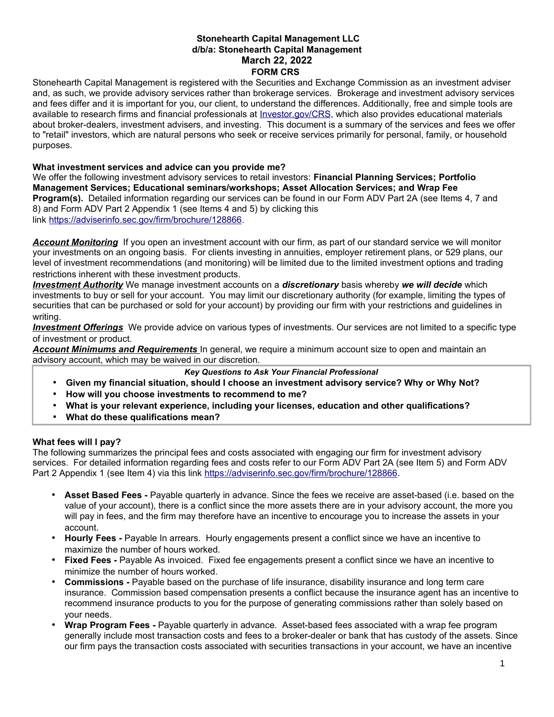#### **Stonehearth Capital Management LLC d/b/a: Stonehearth Capital Management March 22, 2022 FORM CRS**

Stonehearth Capital Management is registered with the Securities and Exchange Commission as an investment adviser and, as such, we provide advisory services rather than brokerage services. Brokerage and investment advisory services and fees differ and it is important for you, our client, to understand the differences. Additionally, free and simple tools are available to research firms and financial professionals at [Investor.gov/CRS,](http://www.Investor.gov/CRS) which also provides educational materials about broker-dealers, investment advisers, and investing. This document is a summary of the services and fees we offer to "retail" investors, which are natural persons who seek or receive services primarily for personal, family, or household purposes.

#### **What investment services and advice can you provide me?**

We offer the following investment advisory services to retail investors: **Financial Planning Services; Portfolio Management Services; Educational seminars/workshops; Asset Allocation Services; and Wrap Fee Program(s).** Detailed information regarding our services can be found in our Form ADV Part 2A (see Items 4, 7 and 8) and Form ADV Part 2 Appendix 1 (see Items 4 and 5) by clicking this link [https://adviserinfo.sec.gov/firm/brochure/128866.](https://adviserinfo.sec.gov/firm/brochure/128866)

*Account Monitoring* If you open an investment account with our firm, as part of our standard service we will monitor your investments on an ongoing basis. For clients investing in annuities, employer retirement plans, or 529 plans, our level of investment recommendations (and monitoring) will be limited due to the limited investment options and trading restrictions inherent with these investment products.

*Investment Authority* We manage investment accounts on a *discretionary* basis whereby *we will decide* which investments to buy or sell for your account. You may limit our discretionary authority (for example, limiting the types of securities that can be purchased or sold for your account) by providing our firm with your restrictions and guidelines in writing.

 *Investment Offerings* We provide advice on various types of investments. Our services are not limited to a specific type of investment or product.

 *Account Minimums and Requirements* In general, we require a minimum account size to open and maintain an advisory account, which may be waived in our discretion.

*Key Questions to Ask Your Financial Professional*

- **Given my financial situation, should I choose an investment advisory service? Why or Why Not?**
- **How will you choose investments to recommend to me?**
- **What is your relevant experience, including your licenses, education and other qualifications?**
- **What do these qualifications mean?**

# **What fees will I pay?**

The following summarizes the principal fees and costs associated with engaging our firm for investment advisory services. For detailed information regarding fees and costs refer to our Form ADV Part 2A (see Item 5) and Form ADV Part 2 Appendix 1 (see Item 4) via this link [https://adviserinfo.sec.gov/firm/brochure/128866.](https://adviserinfo.sec.gov/firm/brochure/128866)

- **Asset Based Fees -** Payable quarterly in advance. Since the fees we receive are asset-based (i.e. based on the value of your account), there is a conflict since the more assets there are in your advisory account, the more you will pay in fees, and the firm may therefore have an incentive to encourage you to increase the assets in your account.
- **Hourly Fees -** Payable In arrears. Hourly engagements present a conflict since we have an incentive to maximize the number of hours worked.
- **Fixed Fees -** Payable As invoiced. Fixed fee engagements present a conflict since we have an incentive to minimize the number of hours worked.
- **Commissions -** Payable based on the purchase of life insurance, disability insurance and long term care insurance. Commission based compensation presents a conflict because the insurance agent has an incentive to recommend insurance products to you for the purpose of generating commissions rather than solely based on your needs.
- **Wrap Program Fees -** Payable quarterly in advance. Asset-based fees associated with a wrap fee program generally include most transaction costs and fees to a broker-dealer or bank that has custody of the assets. Since our firm pays the transaction costs associated with securities transactions in your account, we have an incentive